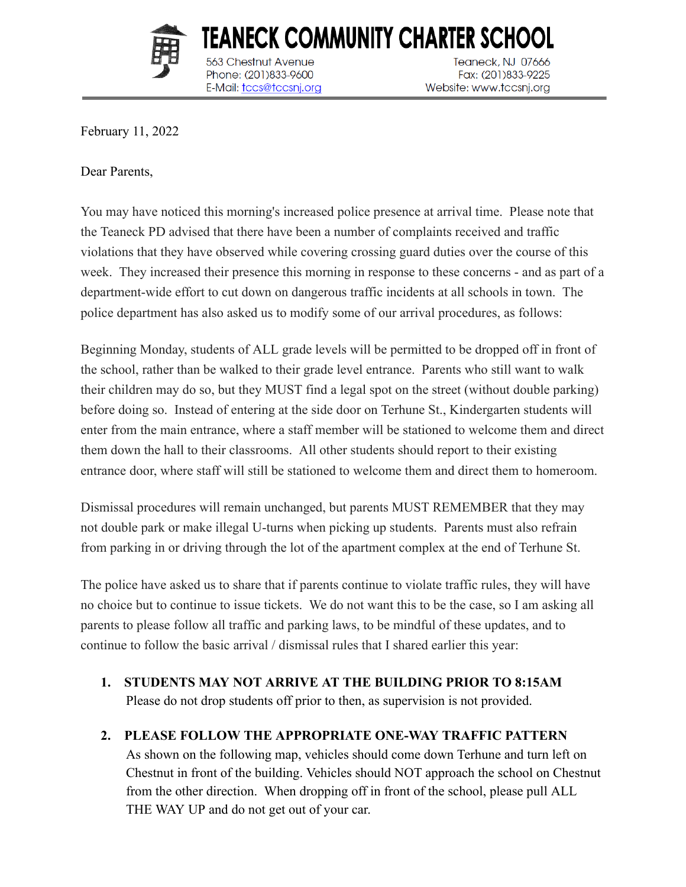

563 Chestnut Avenue

Phone: (201)833-9600

E-Mail: tccs@tccsnj.org

TEANECK COMMUNITY CHARTER SCHOOL Teaneck, NJ 07666 Fax: (201)833-9225 Website: www.tccsnj.org

February 11, 2022

Dear Parents,

You may have noticed this morning's increased police presence at arrival time. Please note that the Teaneck PD advised that there have been a number of complaints received and traffic violations that they have observed while covering crossing guard duties over the course of this week. They increased their presence this morning in response to these concerns - and as part of a department-wide effort to cut down on dangerous traffic incidents at all schools in town. The police department has also asked us to modify some of our arrival procedures, as follows:

Beginning Monday, students of ALL grade levels will be permitted to be dropped off in front of the school, rather than be walked to their grade level entrance. Parents who still want to walk their children may do so, but they MUST find a legal spot on the street (without double parking) before doing so. Instead of entering at the side door on Terhune St., Kindergarten students will enter from the main entrance, where a staff member will be stationed to welcome them and direct them down the hall to their classrooms. All other students should report to their existing entrance door, where staff will still be stationed to welcome them and direct them to homeroom.

Dismissal procedures will remain unchanged, but parents MUST REMEMBER that they may not double park or make illegal U-turns when picking up students. Parents must also refrain from parking in or driving through the lot of the apartment complex at the end of Terhune St.

The police have asked us to share that if parents continue to violate traffic rules, they will have no choice but to continue to issue tickets. We do not want this to be the case, so I am asking all parents to please follow all traffic and parking laws, to be mindful of these updates, and to continue to follow the basic arrival / dismissal rules that I shared earlier this year:

**1. STUDENTS MAY NOT ARRIVE AT THE BUILDING PRIOR TO 8:15AM** Please do not drop students off prior to then, as supervision is not provided.

## **2. PLEASE FOLLOW THE APPROPRIATE ONE-WAY TRAFFIC PATTERN**

As shown on the following map, vehicles should come down Terhune and turn left on Chestnut in front of the building. Vehicles should NOT approach the school on Chestnut from the other direction. When dropping off in front of the school, please pull ALL THE WAY UP and do not get out of your car.